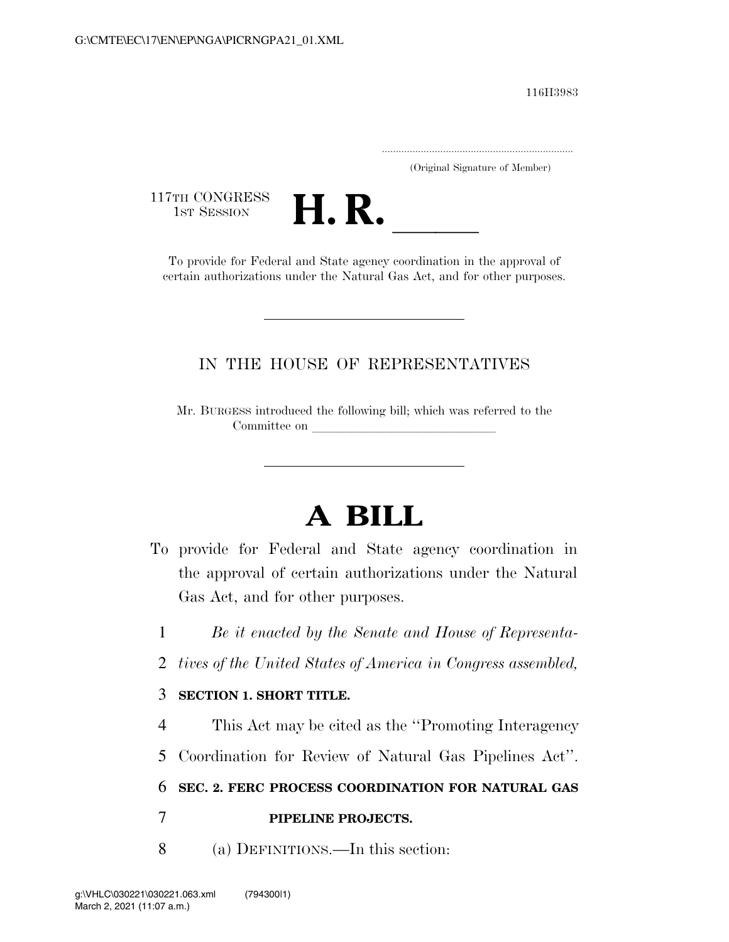116H3983

.....................................................................

(Original Signature of Member)

117TH CONGRESS<br>1st Session



TH CONGRESS<br>1st SESSION **H. R.** <u>International State agency coordination</u> in the approval of certain authorizations under the Natural Gas Act, and for other purposes.

## IN THE HOUSE OF REPRESENTATIVES

Mr. BURGESS introduced the following bill; which was referred to the Committee on

## **A BILL**

- To provide for Federal and State agency coordination in the approval of certain authorizations under the Natural Gas Act, and for other purposes.
	- 1 *Be it enacted by the Senate and House of Representa-*
	- 2 *tives of the United States of America in Congress assembled,*

## 3 **SECTION 1. SHORT TITLE.**

4 This Act may be cited as the ''Promoting Interagency

5 Coordination for Review of Natural Gas Pipelines Act''.

6 **SEC. 2. FERC PROCESS COORDINATION FOR NATURAL GAS** 

## 7 **PIPELINE PROJECTS.**

8 (a) DEFINITIONS.—In this section: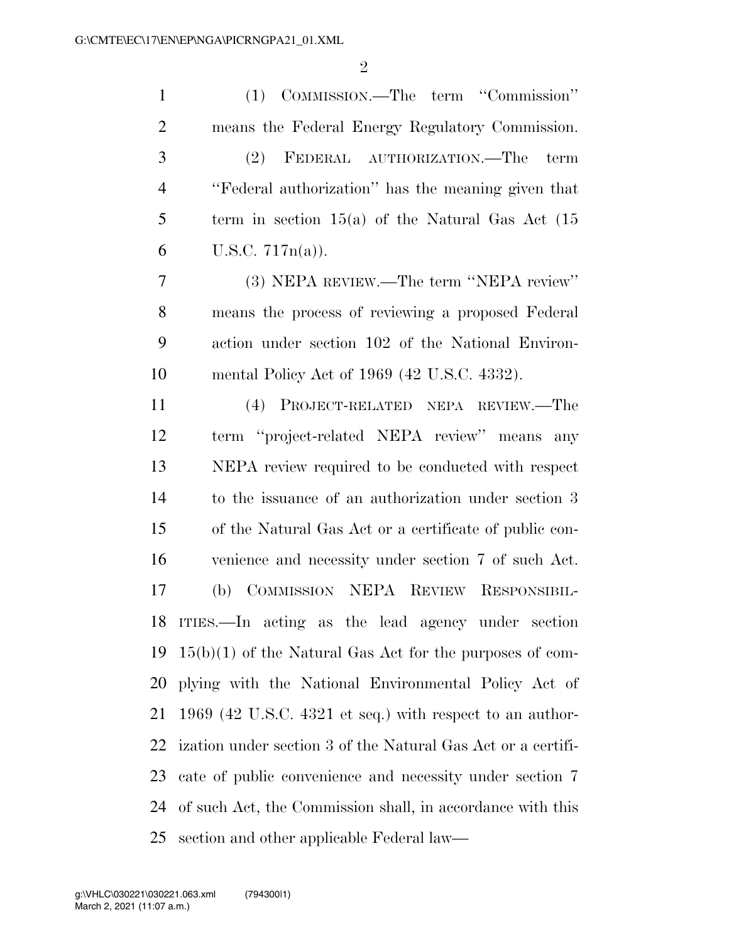| $\mathbf{1}$   | (1) COMMISSION.—The term "Commission"                        |
|----------------|--------------------------------------------------------------|
| $\overline{2}$ | means the Federal Energy Regulatory Commission.              |
| 3              | FEDERAL AUTHORIZATION.—The<br>(2)<br>term                    |
| $\overline{4}$ | "Federal authorization" has the meaning given that           |
| 5              | term in section $15(a)$ of the Natural Gas Act $(15)$        |
| 6              | U.S.C. $717n(a)$ ).                                          |
| $\overline{7}$ | (3) NEPA REVIEW.—The term "NEPA review"                      |
| 8              | means the process of reviewing a proposed Federal            |
| 9              | action under section 102 of the National Environ-            |
| 10             | mental Policy Act of 1969 (42 U.S.C. 4332).                  |
| 11             | (4) PROJECT-RELATED NEPA REVIEW.—The                         |
| 12             | term "project-related NEPA review" means<br>any              |
| 13             | NEPA review required to be conducted with respect            |
| 14             | to the issuance of an authorization under section 3          |
| 15             | of the Natural Gas Act or a certificate of public con-       |
| 16             | venience and necessity under section 7 of such Act.          |
| 17             | (b) COMMISSION NEPA REVIEW RESPONSIBIL-                      |
|                | 18 ITIES.—In acting as the lead agency under section         |
| 19             | $15(b)(1)$ of the Natural Gas Act for the purposes of com-   |
| 20             | plying with the National Environmental Policy Act of         |
| 21             | $1969$ (42 U.S.C. 4321 et seq.) with respect to an author-   |
| 22             | ization under section 3 of the Natural Gas Act or a certifi- |
| 23             | cate of public convenience and necessity under section 7     |
| 24             | of such Act, the Commission shall, in accordance with this   |
| 25             | section and other applicable Federal law—                    |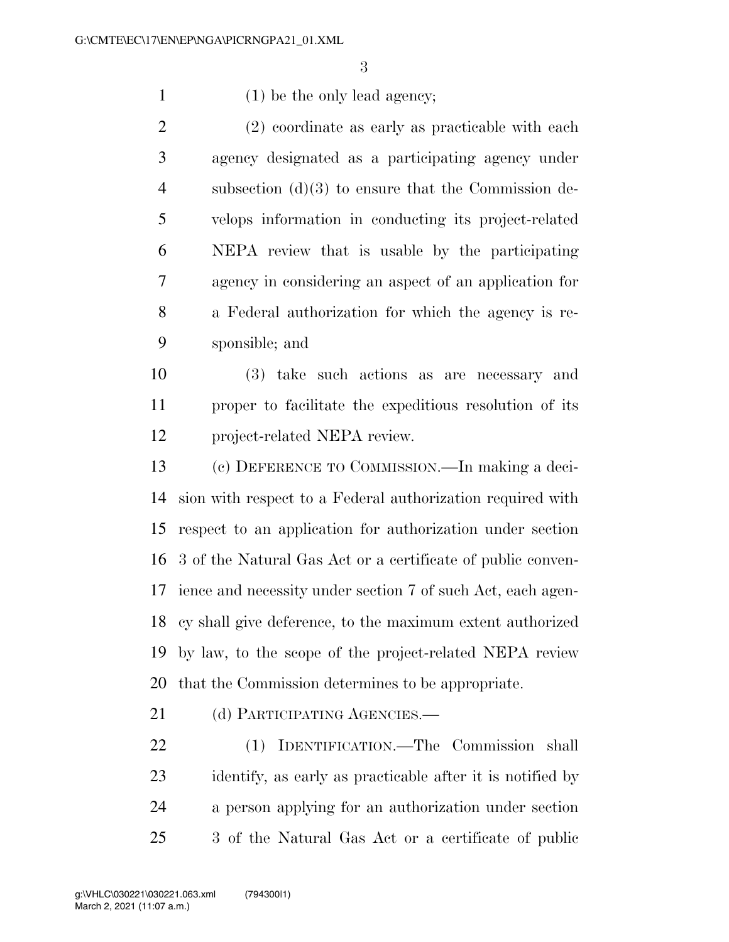1 (1) be the only lead agency;

 (2) coordinate as early as practicable with each agency designated as a participating agency under subsection (d)(3) to ensure that the Commission de- velops information in conducting its project-related NEPA review that is usable by the participating agency in considering an aspect of an application for a Federal authorization for which the agency is re-sponsible; and

 (3) take such actions as are necessary and proper to facilitate the expeditious resolution of its project-related NEPA review.

 (c) DEFERENCE TO COMMISSION.—In making a deci- sion with respect to a Federal authorization required with respect to an application for authorization under section 3 of the Natural Gas Act or a certificate of public conven- ience and necessity under section 7 of such Act, each agen- cy shall give deference, to the maximum extent authorized by law, to the scope of the project-related NEPA review that the Commission determines to be appropriate.

21 (d) PARTICIPATING AGENCIES.—

 (1) IDENTIFICATION.—The Commission shall identify, as early as practicable after it is notified by a person applying for an authorization under section 3 of the Natural Gas Act or a certificate of public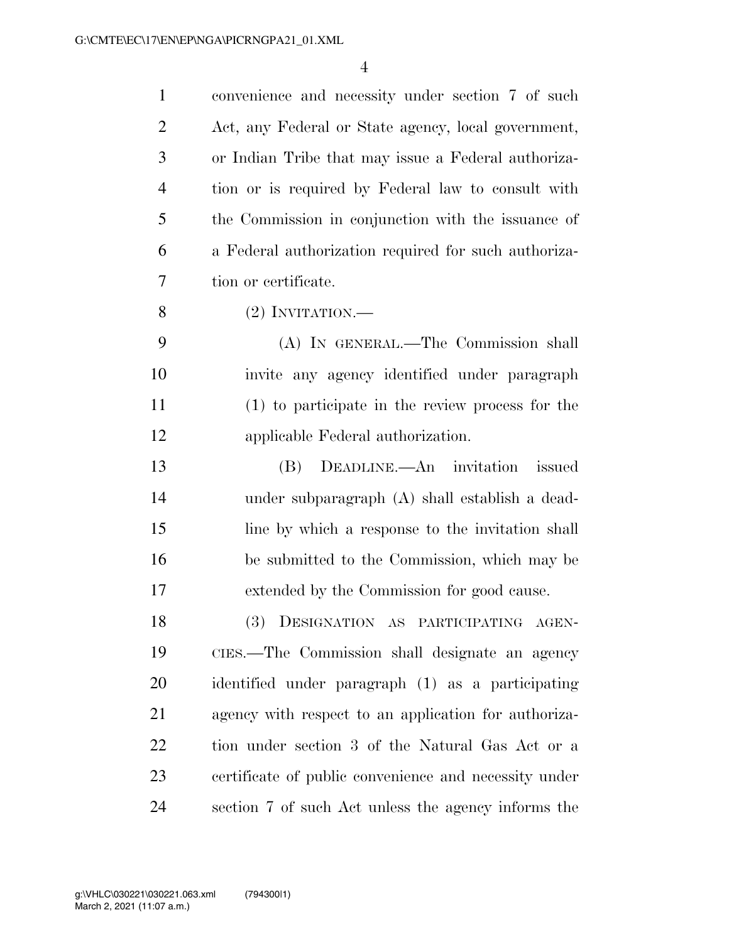convenience and necessity under section 7 of such Act, any Federal or State agency, local government, or Indian Tribe that may issue a Federal authoriza- tion or is required by Federal law to consult with the Commission in conjunction with the issuance of a Federal authorization required for such authoriza-tion or certificate.

(2) INVITATION.—

 (A) IN GENERAL.—The Commission shall invite any agency identified under paragraph (1) to participate in the review process for the applicable Federal authorization.

 (B) DEADLINE.—An invitation issued under subparagraph (A) shall establish a dead- line by which a response to the invitation shall be submitted to the Commission, which may be extended by the Commission for good cause.

 (3) DESIGNATION AS PARTICIPATING AGEN- CIES.—The Commission shall designate an agency identified under paragraph (1) as a participating agency with respect to an application for authoriza- tion under section 3 of the Natural Gas Act or a certificate of public convenience and necessity under section 7 of such Act unless the agency informs the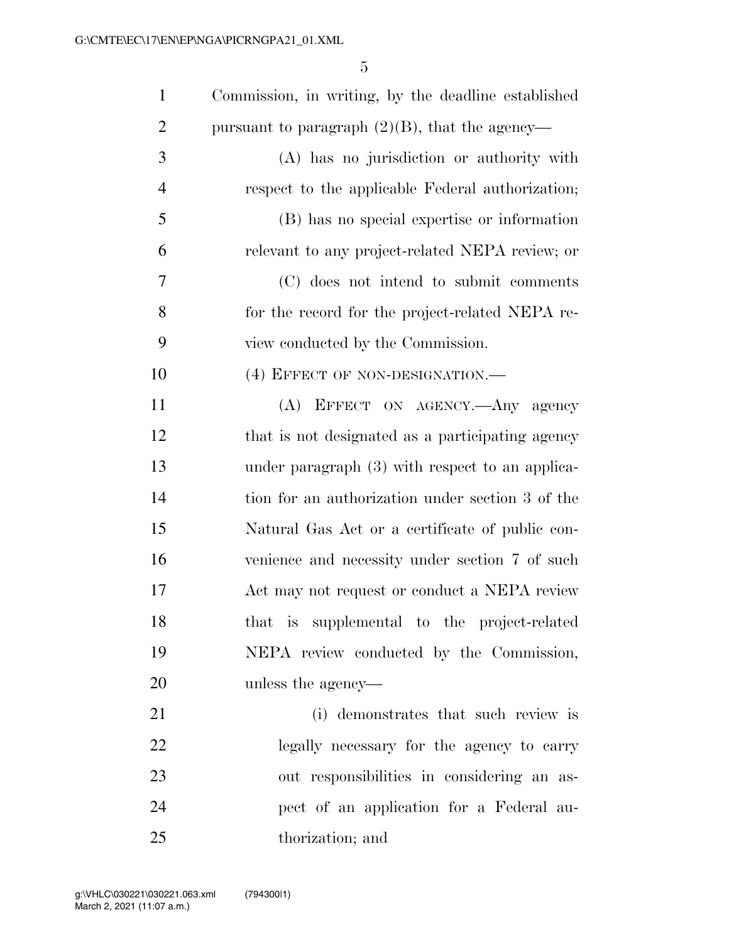| $\mathbf{1}$   | Commission, in writing, by the deadline established |
|----------------|-----------------------------------------------------|
| $\overline{2}$ | pursuant to paragraph $(2)(B)$ , that the agency—   |
| 3              | (A) has no jurisdiction or authority with           |
| $\overline{4}$ | respect to the applicable Federal authorization;    |
| 5              | (B) has no special expertise or information         |
| 6              | relevant to any project-related NEPA review; or     |
| 7              | (C) does not intend to submit comments              |
| 8              | for the record for the project-related NEPA re-     |
| 9              | view conducted by the Commission.                   |
| 10             | (4) EFFECT OF NON-DESIGNATION.—                     |
| 11             | (A) EFFECT ON AGENCY.—Any agency                    |
| 12             | that is not designated as a participating agency    |
| 13             | under paragraph $(3)$ with respect to an applica-   |
| 14             | tion for an authorization under section 3 of the    |
| 15             | Natural Gas Act or a certificate of public con-     |
| 16             | venience and necessity under section 7 of such      |
| 17             | Act may not request or conduct a NEPA review        |
| 18             | that is supplemental to the project-related         |
| 19             | NEPA review conducted by the Commission,            |
| 20             | unless the agency—                                  |
| 21             | (i) demonstrates that such review is                |
| 22             | legally necessary for the agency to carry           |
| 23             | out responsibilities in considering an as-          |
| 24             | pect of an application for a Federal au-            |
| 25             | thorization; and                                    |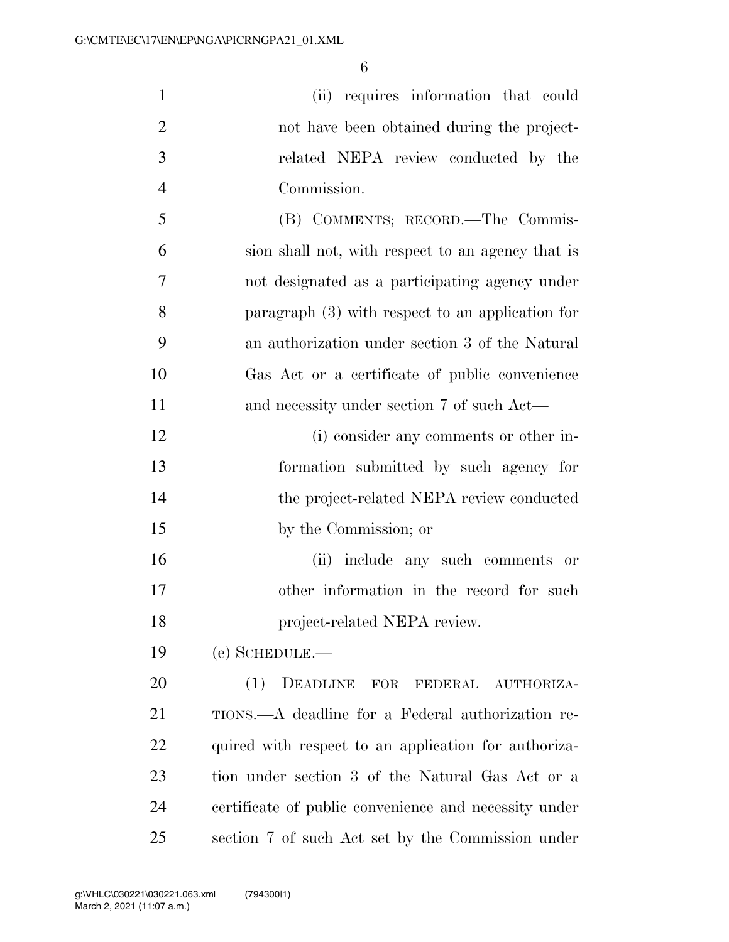| $\mathbf{1}$   | (ii) requires information that could                  |
|----------------|-------------------------------------------------------|
| $\overline{2}$ | not have been obtained during the project-            |
| 3              | related NEPA review conducted by the                  |
| $\overline{4}$ | Commission.                                           |
| 5              | (B) COMMENTS; RECORD.—The Commis-                     |
| 6              | sion shall not, with respect to an agency that is     |
| 7              | not designated as a participating agency under        |
| 8              | paragraph $(3)$ with respect to an application for    |
| 9              | an authorization under section 3 of the Natural       |
| 10             | Gas Act or a certificate of public convenience        |
| 11             | and necessity under section 7 of such Act—            |
| 12             | (i) consider any comments or other in-                |
| 13             | formation submitted by such agency for                |
| 14             | the project-related NEPA review conducted             |
| 15             | by the Commission; or                                 |
| 16             | (ii) include any such comments or                     |
| 17             | other information in the record for such              |
| 18             | project-related NEPA review.                          |
| 19             | $(e)$ SCHEDULE.—                                      |
| 20             | (1)<br>DEADLINE<br>FOR FEDERAL AUTHORIZA-             |
| 21             | TIONS.—A deadline for a Federal authorization re-     |
| <u>22</u>      | quired with respect to an application for authoriza-  |
| 23             | tion under section 3 of the Natural Gas Act or a      |
| 24             | certificate of public convenience and necessity under |
| 25             | section 7 of such Act set by the Commission under     |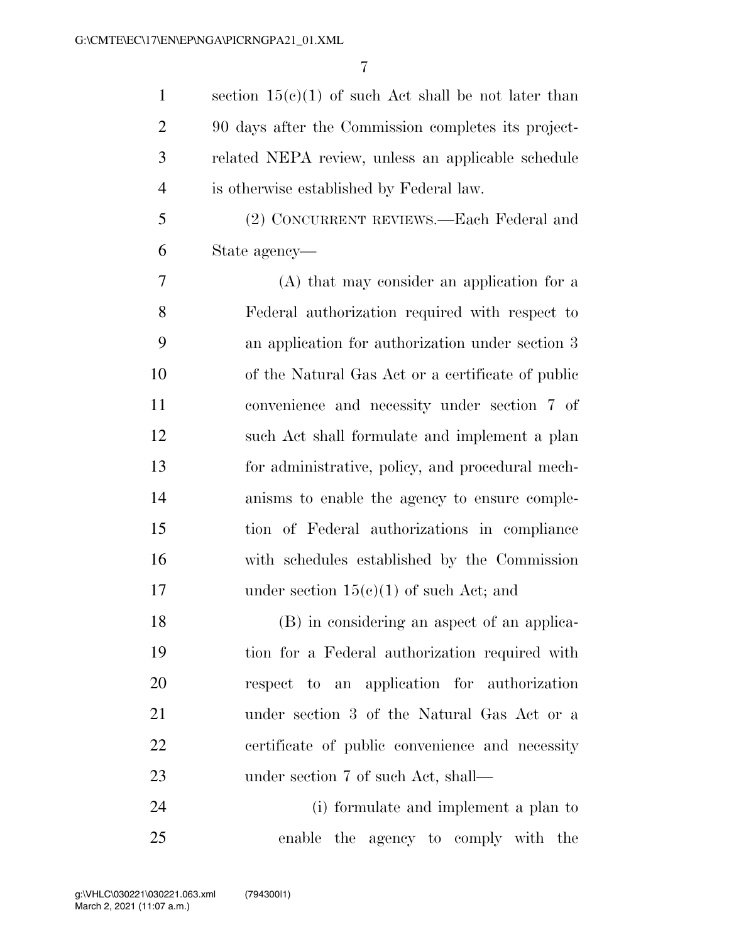1 section 15(c)(1) of such Act shall be not later than 90 days after the Commission completes its project- related NEPA review, unless an applicable schedule is otherwise established by Federal law.

 (2) CONCURRENT REVIEWS.—Each Federal and State agency—

 (A) that may consider an application for a Federal authorization required with respect to an application for authorization under section 3 of the Natural Gas Act or a certificate of public convenience and necessity under section 7 of such Act shall formulate and implement a plan for administrative, policy, and procedural mech- anisms to enable the agency to ensure comple- tion of Federal authorizations in compliance with schedules established by the Commission 17 under section  $15(e)(1)$  of such Act; and

 (B) in considering an aspect of an applica- tion for a Federal authorization required with respect to an application for authorization under section 3 of the Natural Gas Act or a certificate of public convenience and necessity 23 under section 7 of such Act, shall—

 (i) formulate and implement a plan to enable the agency to comply with the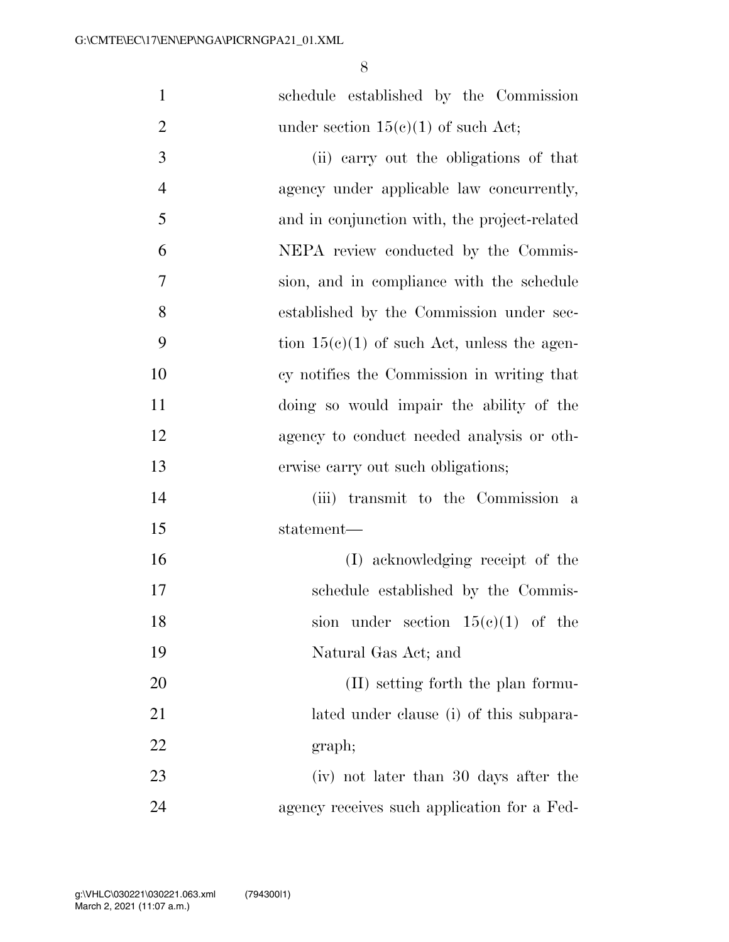| $\mathbf{1}$   | schedule established by the Commission        |
|----------------|-----------------------------------------------|
| $\overline{2}$ | under section $15(c)(1)$ of such Act;         |
| 3              | (ii) carry out the obligations of that        |
| $\overline{4}$ | agency under applicable law concurrently,     |
| 5              | and in conjunction with, the project-related  |
| 6              | NEPA review conducted by the Commis-          |
| $\overline{7}$ | sion, and in compliance with the schedule     |
| 8              | established by the Commission under sec-      |
| 9              | tion $15(e)(1)$ of such Act, unless the agen- |
| 10             | cy notifies the Commission in writing that    |
| 11             | doing so would impair the ability of the      |
| 12             | agency to conduct needed analysis or oth-     |
| 13             | erwise carry out such obligations;            |
| 14             | (iii) transmit to the Commission a            |
| 15             | statement—                                    |
| 16             | (I) acknowledging receipt of the              |
| 17             | schedule established by the Commis-           |
| 18             | under section $15(e)(1)$ of the<br>sion       |
| 19             | Natural Gas Act; and                          |
| 20             | (II) setting forth the plan formu-            |
| 21             | lated under clause (i) of this subpara-       |
| 22             | graph;                                        |
| 23             | (iv) not later than 30 days after the         |
| 24             | agency receives such application for a Fed-   |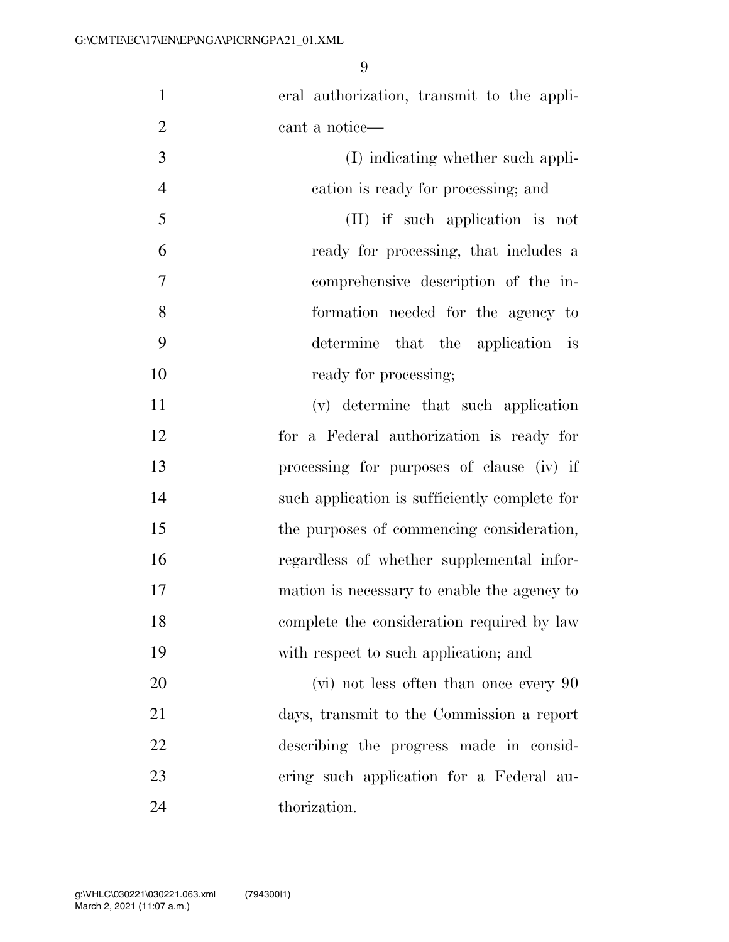| $\mathbf{1}$   | eral authorization, transmit to the appli-    |
|----------------|-----------------------------------------------|
| $\overline{2}$ | cant a notice—                                |
| 3              | (I) indicating whether such appli-            |
| $\overline{4}$ | cation is ready for processing; and           |
| 5              | (II) if such application is not               |
| 6              | ready for processing, that includes a         |
| $\tau$         | comprehensive description of the in-          |
| 8              | formation needed for the agency to            |
| 9              | determine that the application is             |
| 10             | ready for processing;                         |
| 11             | (v) determine that such application           |
| 12             | for a Federal authorization is ready for      |
| 13             | processing for purposes of clause (iv) if     |
| 14             | such application is sufficiently complete for |
| 15             | the purposes of commencing consideration,     |
| 16             | regardless of whether supplemental infor-     |
| 17             | mation is necessary to enable the agency to   |
| 18             | complete the consideration required by law    |
| 19             | with respect to such application; and         |
| 20             | (vi) not less often than once every 90        |
| 21             | days, transmit to the Commission a report     |
| 22             | describing the progress made in consid-       |
| 23             | ering such application for a Federal au-      |
| 24             | thorization.                                  |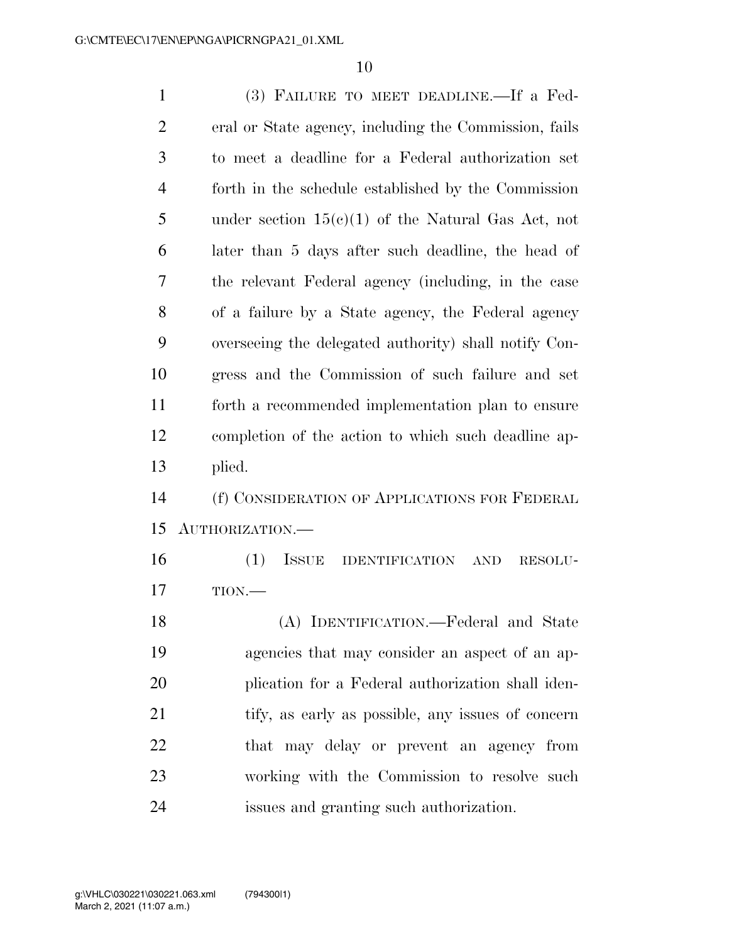| $\mathbf{1}$   | (3) FAILURE TO MEET DEADLINE.—If a Fed-                                         |
|----------------|---------------------------------------------------------------------------------|
| $\overline{2}$ | eral or State agency, including the Commission, fails                           |
| 3              | to meet a deadline for a Federal authorization set                              |
| $\overline{4}$ | forth in the schedule established by the Commission                             |
| 5              | under section $15(e)(1)$ of the Natural Gas Act, not                            |
| 6              | later than 5 days after such deadline, the head of                              |
| 7              | the relevant Federal agency (including, in the case                             |
| 8              | of a failure by a State agency, the Federal agency                              |
| 9              | overseeing the delegated authority) shall notify Con-                           |
| 10             | gress and the Commission of such failure and set                                |
| 11             | forth a recommended implementation plan to ensure                               |
| 12             | completion of the action to which such deadline ap-                             |
| 13             | plied.                                                                          |
| 14             | (f) CONSIDERATION OF APPLICATIONS FOR FEDERAL                                   |
| 15             | AUTHORIZATION.                                                                  |
| 16             | (1)<br><b>ISSUE</b><br><b>IDENTIFICATION</b><br>$\operatorname{AND}$<br>RESOLU- |
| 17             | $TION$ .                                                                        |
| 18             | (A) IDENTIFICATION.—Federal and State                                           |
| 19             | agencies that may consider an aspect of an ap-                                  |
| 20             | plication for a Federal authorization shall iden-                               |
| 21             | tify, as early as possible, any issues of concern                               |
| 22             | that may delay or prevent an agency from                                        |
| 23             | working with the Commission to resolve such                                     |
| 24             | issues and granting such authorization.                                         |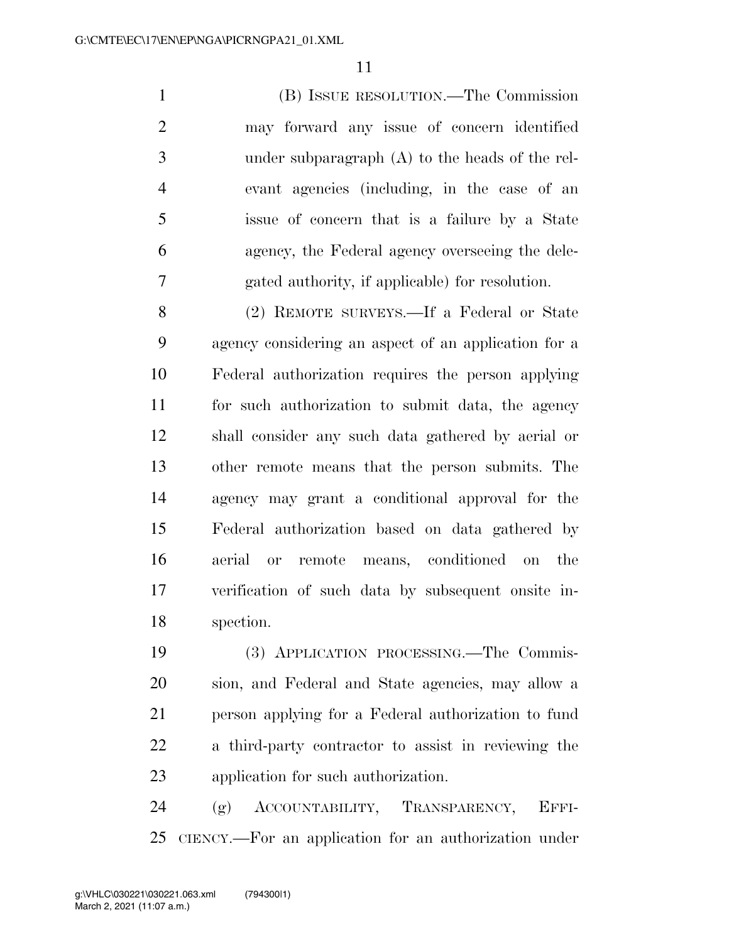(B) ISSUE RESOLUTION.—The Commission may forward any issue of concern identified under subparagraph (A) to the heads of the rel- evant agencies (including, in the case of an issue of concern that is a failure by a State agency, the Federal agency overseeing the dele-gated authority, if applicable) for resolution.

 (2) REMOTE SURVEYS.—If a Federal or State agency considering an aspect of an application for a Federal authorization requires the person applying for such authorization to submit data, the agency shall consider any such data gathered by aerial or other remote means that the person submits. The agency may grant a conditional approval for the Federal authorization based on data gathered by aerial or remote means, conditioned on the verification of such data by subsequent onsite in-spection.

 (3) APPLICATION PROCESSING.—The Commis- sion, and Federal and State agencies, may allow a person applying for a Federal authorization to fund a third-party contractor to assist in reviewing the application for such authorization.

 (g) ACCOUNTABILITY, TRANSPARENCY, EFFI-CIENCY.—For an application for an authorization under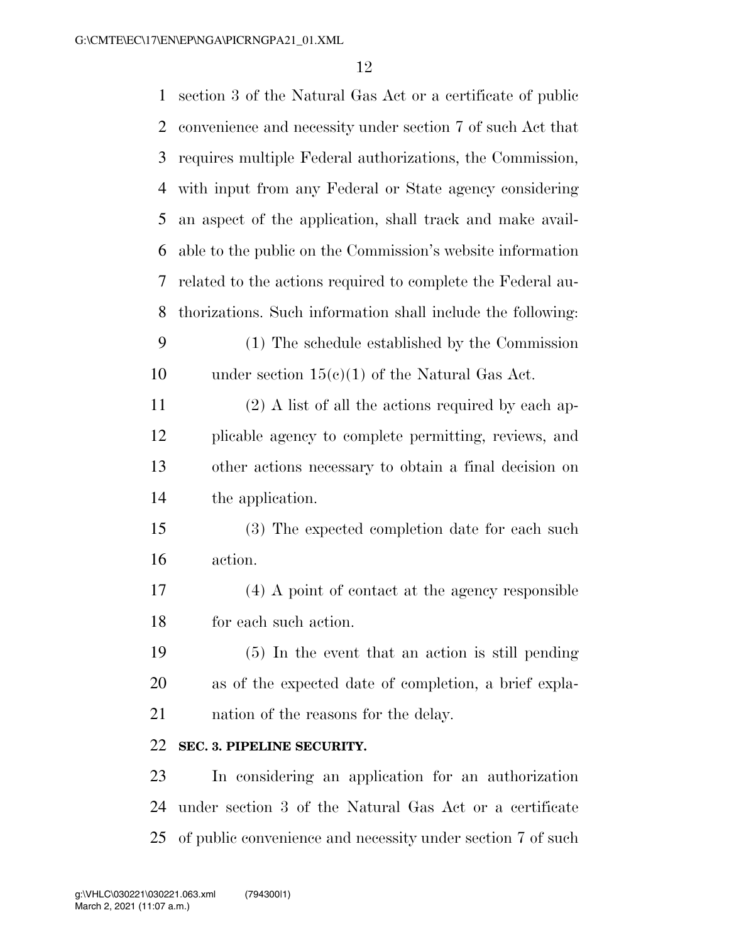| $\mathbf{1}$ | section 3 of the Natural Gas Act or a certificate of public |
|--------------|-------------------------------------------------------------|
| 2            | convenience and necessity under section 7 of such Act that  |
| 3            | requires multiple Federal authorizations, the Commission,   |
| 4            | with input from any Federal or State agency considering     |
| 5            | an aspect of the application, shall track and make avail-   |
| 6            | able to the public on the Commission's website information  |
| 7            | related to the actions required to complete the Federal au- |
| 8            | thorizations. Such information shall include the following: |
| 9            | (1) The schedule established by the Commission              |
| 10           | under section $15(c)(1)$ of the Natural Gas Act.            |
| 11           | $(2)$ A list of all the actions required by each ap-        |
| 12           | plicable agency to complete permitting, reviews, and        |
| 13           | other actions necessary to obtain a final decision on       |
| 14           | the application.                                            |
| 15           | (3) The expected completion date for each such              |
| 16           | action.                                                     |
| 17           | (4) A point of contact at the agency responsible            |
| 18           | for each such action.                                       |
| 19           | $(5)$ In the event that an action is still pending          |
| 20           | as of the expected date of completion, a brief expla-       |
| 21           | nation of the reasons for the delay.                        |
| 22           | SEC. 3. PIPELINE SECURITY.                                  |
| 23           | In considering an application for an authorization          |
| 24           | under section 3 of the Natural Gas Act or a certificate     |
| 25           | of public convenience and necessity under section 7 of such |